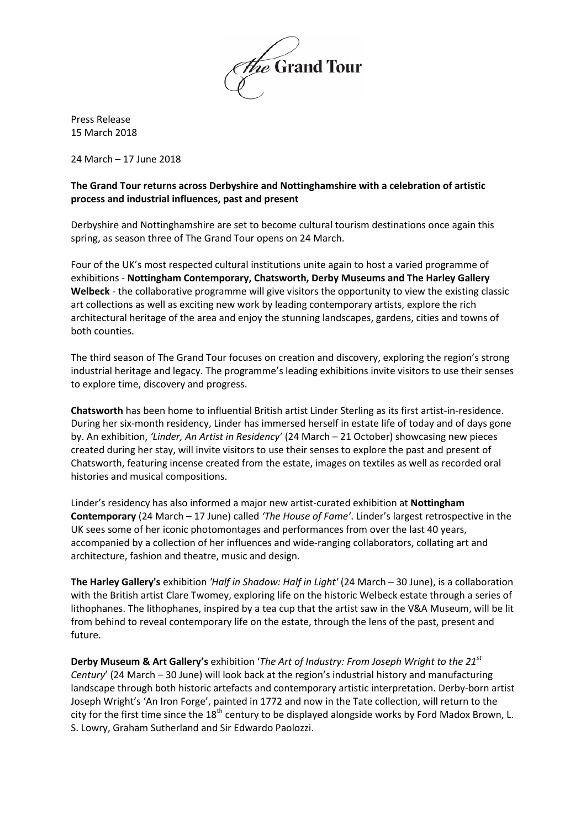

Press Release 15 March 2018

24 March – 17 June 2018

# **The Grand Tour returns across Derbyshire and Nottinghamshire with a celebration of artistic process and industrial influences, past and present**

Derbyshire and Nottinghamshire are set to become cultural tourism destinations once again this spring, as season three of The Grand Tour opens on 24 March.

Four of the UK's most respected cultural institutions unite again to host a varied programme of exhibitions - **Nottingham Contemporary, Chatsworth, Derby Museums and The Harley Gallery Welbeck** - the collaborative programme will give visitors the opportunity to view the existing classic art collections as well as exciting new work by leading contemporary artists, explore the rich architectural heritage of the area and enjoy the stunning landscapes, gardens, cities and towns of both counties.

The third season of The Grand Tour focuses on creation and discovery, exploring the region's strong industrial heritage and legacy. The programme's leading exhibitions invite visitors to use their senses to explore time, discovery and progress.

**Chatsworth** has been home to influential British artist Linder Sterling as its first artist-in-residence. During her six-month residency, Linder has immersed herself in estate life of today and of days gone by. An exhibition, *'Linder, An Artist in Residency'* (24 March – 21 October) showcasing new pieces created during her stay, will invite visitors to use their senses to explore the past and present of Chatsworth, featuring incense created from the estate, images on textiles as well as recorded oral histories and musical compositions.

Linder's residency has also informed a major new artist-curated exhibition at **Nottingham Contemporary** (24 March – 17 June) called *'The House of Fame'*. Linder's largest retrospective in the UK sees some of her iconic photomontages and performances from over the last 40 years, accompanied by a collection of her influences and wide-ranging collaborators, collating art and architecture, fashion and theatre, music and design.

**The Harley Gallery's** exhibition *'Half in Shadow: Half in Light'* (24 March – 30 June), is a collaboration with the British artist Clare Twomey, exploring life on the historic Welbeck estate through a series of lithophanes. The lithophanes, inspired by a tea cup that the artist saw in the V&A Museum, will be lit from behind to reveal contemporary life on the estate, through the lens of the past, present and future.

**Derby Museum & Art Gallery's** exhibition '*The Art of Industry: From Joseph Wright to the 21st Century*' (24 March – 30 June) will look back at the region's industrial history and manufacturing landscape through both historic artefacts and contemporary artistic interpretation. Derby-born artist Joseph Wright's 'An Iron Forge', painted in 1772 and now in the Tate collection, will return to the city for the first time since the  $18<sup>th</sup>$  century to be displayed alongside works by Ford Madox Brown, L. S. Lowry, Graham Sutherland and Sir Edwardo Paolozzi.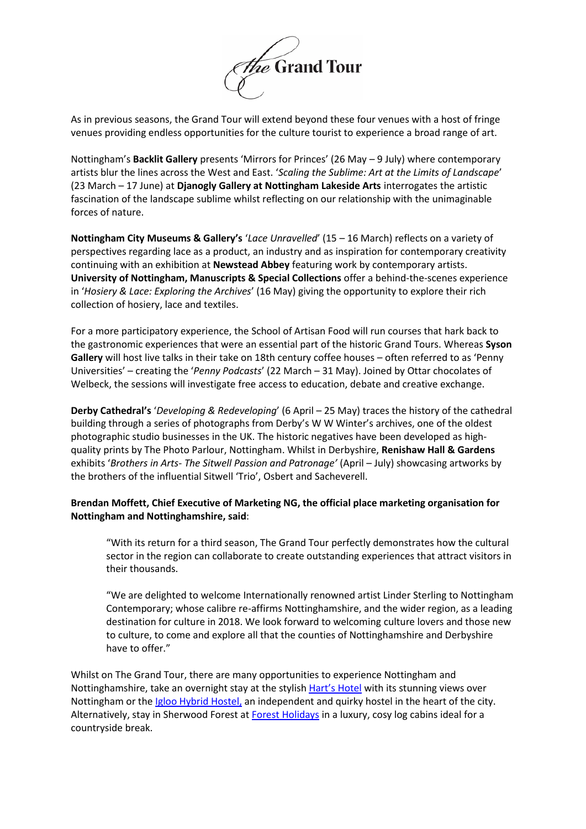

As in previous seasons, the Grand Tour will extend beyond these four venues with a host of fringe venues providing endless opportunities for the culture tourist to experience a broad range of art.

Nottingham's **Backlit Gallery** presents 'Mirrors for Princes' (26 May – 9 July) where contemporary artists blur the lines across the West and East. '*Scaling the Sublime: Art at the Limits of Landscape*' (23 March – 17 June) at **Djanogly Gallery at Nottingham Lakeside Arts** interrogates the artistic fascination of the landscape sublime whilst reflecting on our relationship with the unimaginable forces of nature.

**Nottingham City Museums & Gallery's** '*Lace Unravelled*' (15 – 16 March) reflects on a variety of perspectives regarding lace as a product, an industry and as inspiration for contemporary creativity continuing with an exhibition at **Newstead Abbey** featuring work by contemporary artists. **University of Nottingham, Manuscripts & Special Collections** offer a behind-the-scenes experience in '*Hosiery & Lace: Exploring the Archives*' (16 May) giving the opportunity to explore their rich collection of hosiery, lace and textiles.

For a more participatory experience, the School of Artisan Food will run courses that hark back to the gastronomic experiences that were an essential part of the historic Grand Tours. Whereas **Syson Gallery** will host live talks in their take on 18th century coffee houses – often referred to as 'Penny Universities' – creating the '*Penny Podcasts*' (22 March – 31 May). Joined by Ottar chocolates of Welbeck, the sessions will investigate free access to education, debate and creative exchange.

**Derby Cathedral's** '*Developing & Redeveloping*' (6 April – 25 May) traces the history of the cathedral building through a series of photographs from Derby's W W Winter's archives, one of the oldest photographic studio businesses in the UK. The historic negatives have been developed as highquality prints by The Photo Parlour, Nottingham. Whilst in Derbyshire, **Renishaw Hall & Gardens** exhibits '*Brothers in Arts- The Sitwell Passion and Patronage'* (April – July) showcasing artworks by the brothers of the influential Sitwell 'Trio', Osbert and Sacheverell.

# **Brendan Moffett, Chief Executive of Marketing NG, the official place marketing organisation for Nottingham and Nottinghamshire, said**:

"With its return for a third season, The Grand Tour perfectly demonstrates how the cultural sector in the region can collaborate to create outstanding experiences that attract visitors in their thousands.

"We are delighted to welcome Internationally renowned artist Linder Sterling to Nottingham Contemporary; whose calibre re-affirms Nottinghamshire, and the wider region, as a leading destination for culture in 2018. We look forward to welcoming culture lovers and those new to culture, to come and explore all that the counties of Nottinghamshire and Derbyshire have to offer."

Whilst on The Grand Tour, there are many opportunities to experience Nottingham and Nottinghamshire, take an overnight stay at the stylish [Hart's Hotel](https://www.visit-nottinghamshire.co.uk/stay/harts-hotel-p350491) with its stunning views over Nottingham or th[e Igloo Hybrid Hostel,](http://www.igloohostel.co.uk/) an independent and quirky hostel in the heart of the city. Alternatively, stay in Sherwood Forest at [Forest Holidays](http://www.forestholidays.co.uk/) in a luxury, cosy log cabins ideal for a countryside break.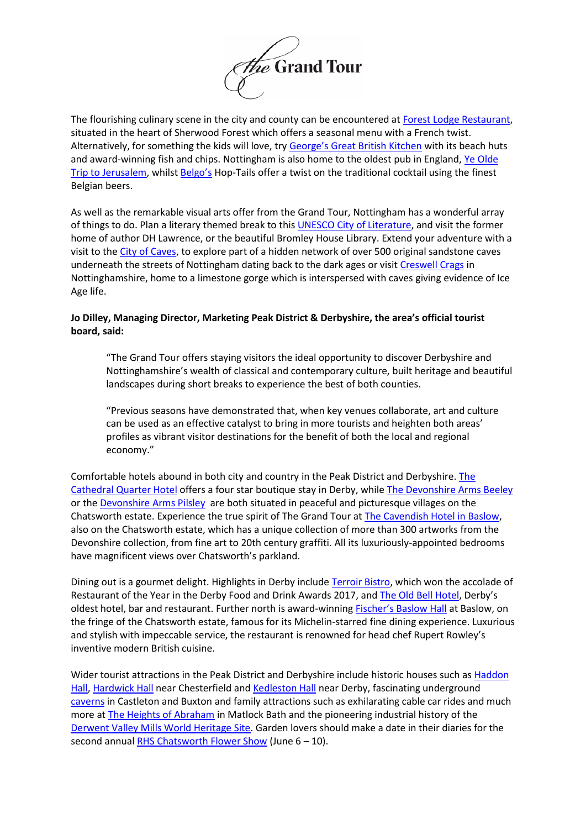

The flourishing culinary scene in the city and county can be encountered at [Forest Lodge Restaurant,](https://www.visit-nottinghamshire.co.uk/food-and-drink/forest-lodge-restaurant-p636011) situated in the heart of Sherwood Forest which offers a seasonal menu with a French twist. Alternatively, for something the kids will love, try George's [Great British Kitchen](https://www.visit-nottinghamshire.co.uk/food-and-drink/georges-great-british-kitchen-p648721) with its beach huts and award-winning fish and chips. Nottingham is also home to the oldest pub in England, Ye Olde [Trip to Jerusalem,](http://www.triptojerusalem.com/) whilst [Belgo](https://www.visit-nottinghamshire.co.uk/food-and-drink/belgo-p692311)'s Hop-Tails offer a twist on the traditional cocktail using the finest Belgian beers.

As well as the remarkable visual arts offer from the Grand Tour, Nottingham has a wonderful array of things to do. Plan a literary themed break to this **UNESCO City of Literature**, and visit the former home of author DH Lawrence, or the beautiful Bromley House Library. Extend your adventure with a visit to the [City of Caves,](http://www.nationaljusticemuseum.org.uk/venue/city-of-caves/) to explore part of a hidden network of over 500 original sandstone caves underneath the streets of Nottingham dating back to the dark ages or visi[t Creswell Crags](http://www.creswell-crags.org.uk/) in Nottinghamshire, home to a limestone gorge which is interspersed with caves giving evidence of Ice Age life.

# **Jo Dilley, Managing Director, Marketing Peak District & Derbyshire, the area's official tourist board, said:**

"The Grand Tour offers staying visitors the ideal opportunity to discover Derbyshire and Nottinghamshire's wealth of classical and contemporary culture, built heritage and beautiful landscapes during short breaks to experience the best of both counties.

"Previous seasons have demonstrated that, when key venues collaborate, art and culture can be used as an effective catalyst to bring in more tourists and heighten both areas' profiles as vibrant visitor destinations for the benefit of both the local and regional economy."

Comfortable hotels abound in both city and country in the Peak District and Derbyshire. [The](https://www.cathedralquarterhotel.com/,)  [Cathedral Quarter Hotel](https://www.cathedralquarterhotel.com/,) offers a four star boutique stay in Derby, while [The Devonshire Arms Beeley](http://www.devonshirebeeley.co.u/) or th[e Devonshire Arms Pilsley](http://www.devonshirepilsley.co.uk/) are both situated in peaceful and picturesque villages on the Chatsworth estate. Experience the true spirit of The Grand Tour a[t The Cavendish Hotel in Baslow,](http://www.cavendish-hotel.net/) also on the Chatsworth estate, which has a unique collection of more than 300 artworks from the Devonshire collection, from fine art to 20th century graffiti. All its luxuriously-appointed bedrooms have magnificent views over Chatsworth's parkland.

Dining out is a gourmet delight. Highlights in Derby include [Terroir Bistro,](http://www.terroirbistro.co.uk/) which won the accolade of Restaurant of the Year in the Derby Food and Drink Awards 2017, and [The Old Bell Hotel](https://bellhotelderby.co.uk/), Derby's oldest hotel, bar and restaurant. Further north is award-winning [Fischer's Baslow Hall](http://www.fischers-baslowhall.co.uk/) at Baslow, on the fringe of the Chatsworth estate, famous for its Michelin-starred fine dining experience. Luxurious and stylish with impeccable service, the restaurant is renowned for head chef Rupert Rowley's inventive modern British cuisine.

Wider tourist attractions in the Peak District and Derbyshire include historic houses such a[s Haddon](http://www.haddonhall.co.uk/)  [Hall,](http://www.haddonhall.co.uk/) [Hardwick Hall](https://www.nationaltrust.org.uk/hardwick-hall) near Chesterfield and [Kedleston Hall](https://www.nationaltrust.org.uk/kedleston-hall) near Derby, fascinating underground [caverns](https://www.visitpeakdistrict.com/things-to-do/attractions/caverns-and-caves) in Castleton and Buxton and family attractions such as exhilarating cable car rides and much more at [The Heights of Abraham](http://www.heightsofabraham.com/) in Matlock Bath and the pioneering industrial history of the Derwent Valley Mills [World Heritage Site.](http://www.derwentvalleymills.org/) Garden lovers should make a date in their diaries for the second annual [RHS Chatsworth Flower Show](https://www.rhs.org.uk/shows-events/rhs-chatsworth-flower-show/news/2018/Show-preview) (June  $6 - 10$ ).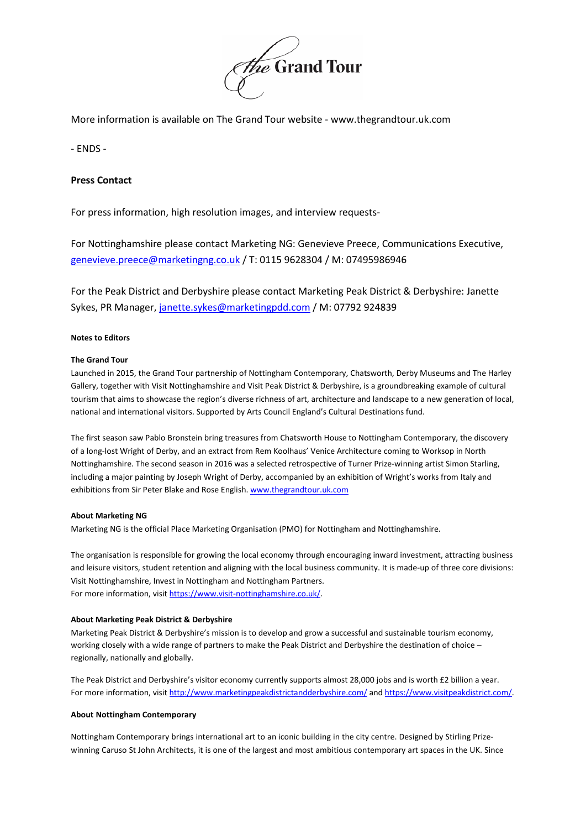

More information is available on The Grand Tour website - www.thegrandtour.uk.com

- ENDS -

## **Press Contact**

For press information, high resolution images, and interview requests-

For Nottinghamshire please contact Marketing NG: Genevieve Preece, Communications Executive, [genevieve.preece@marketingng.co.uk](mailto:genevieve.preece@marketingng.co.uk) / T: 0115 9628304 / M: 07495986946

For the Peak District and Derbyshire please contact Marketing Peak District & Derbyshire: Janette Sykes, PR Manager, [janette.sykes@marketingpdd.com](mailto:janette.sykes@marketingpdd.com) / M: 07792 924839

## **Notes to Editors**

## **The Grand Tour**

Launched in 2015, the Grand Tour partnership of Nottingham Contemporary, Chatsworth, Derby Museums and The Harley Gallery, together with Visit Nottinghamshire and Visit Peak District & Derbyshire, is a groundbreaking example of cultural tourism that aims to showcase the region's diverse richness of art, architecture and landscape to a new generation of local, national and international visitors. Supported by Arts Council England's Cultural Destinations fund.

The first season saw Pablo Bronstein bring treasures from Chatsworth House to Nottingham Contemporary, the discovery of a long-lost Wright of Derby, and an extract from Rem Koolhaus' Venice Architecture coming to Worksop in North Nottinghamshire. The second season in 2016 was a selected retrospective of Turner Prize-winning artist Simon Starling, including a major painting by Joseph Wright of Derby, accompanied by an exhibition of Wright's works from Italy and exhibitions from Sir Peter Blake and Rose English. [www.thegrandtour.uk.com](http://www.thegrandtour.uk.com/)

## **About Marketing NG**

Marketing NG is the official Place Marketing Organisation (PMO) for Nottingham and Nottinghamshire.

The organisation is responsible for growing the local economy through encouraging inward investment, attracting business and leisure visitors, student retention and aligning with the local business community. It is made-up of three core divisions: Visit Nottinghamshire, Invest in Nottingham and Nottingham Partners. For more information, visit [https://www.visit-nottinghamshire.co.uk/.](https://www.visit-nottinghamshire.co.uk/)

## **About Marketing Peak District & Derbyshire**

Marketing Peak District & Derbyshire's mission is to develop and grow a successful and sustainable tourism economy, working closely with a wide range of partners to make the Peak District and Derbyshire the destination of choice – regionally, nationally and globally.

The Peak District and Derbyshire's visitor economy currently supports almost 28,000 jobs and is worth £2 billion a year. For more information, visi[t http://www.marketingpeakdistrictandderbyshire.com/](http://www.marketingpeakdistrictandderbyshire.com/) an[d https://www.visitpeakdistrict.com/.](https://www.visitpeakdistrict.com/)

## **About Nottingham Contemporary**

Nottingham Contemporary brings international art to an iconic building in the city centre. Designed by Stirling Prizewinning Caruso St John Architects, it is one of the largest and most ambitious contemporary art spaces in the UK. Since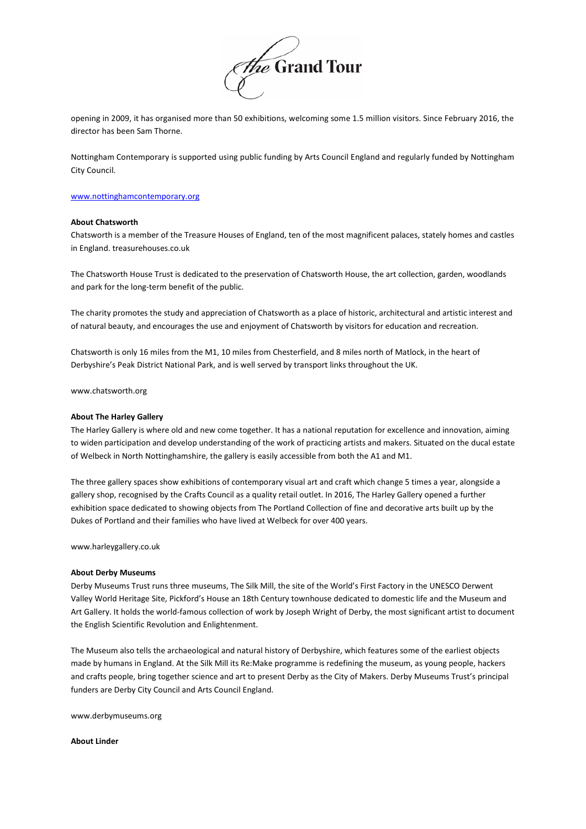

opening in 2009, it has organised more than 50 exhibitions, welcoming some 1.5 million visitors. Since February 2016, the director has been Sam Thorne.

Nottingham Contemporary is supported using public funding by Arts Council England and regularly funded by Nottingham City Council.

#### [www.nottinghamcontemporary.org](http://www.nottinghamcontemporary.org/)

#### **About Chatsworth**

Chatsworth is a member of the Treasure Houses of England, ten of the most magnificent palaces, stately homes and castles in England. [treasurehouses.co.uk](http://treasurehouses.co.uk/)

The Chatsworth House Trust is dedicated to the preservation of Chatsworth House, the art collection, garden, woodlands and park for the long-term benefit of the public.

The charity promotes the study and appreciation of Chatsworth as a place of historic, architectural and artistic interest and of natural beauty, and encourages the use and enjoyment of Chatsworth by visitors for education and recreation.

Chatsworth is only 16 miles from the M1, 10 miles from Chesterfield, and 8 miles north of Matlock, in the heart of Derbyshire's Peak District National Park, and is well served by transport links throughout the UK.

ww[w.chatsworth.org](http://chatsworth.org/)

#### **About The Harley Gallery**

The Harley Gallery is where old and new come together. It has a national reputation for excellence and innovation, aiming to widen participation and develop understanding of the work of practicing artists and makers. Situated on the ducal estate of Welbeck in North Nottinghamshire, the gallery is easily accessible from both the A1 and M1.

The three gallery spaces show exhibitions of contemporary visual art and craft which change 5 times a year, alongside a gallery shop, recognised by the Crafts Council as a quality retail outlet. In 2016, The Harley Gallery opened a further exhibition space dedicated to showing objects from The Portland Collection of fine and decorative arts built up by the Dukes of Portland and their families who have lived at Welbeck for over 400 years.

[www.harleygallery.co.uk](http://www.harleygallery.co.uk/)

#### **About Derby Museums**

Derby Museums Trust runs three museums, The Silk Mill, the site of the World's First Factory in the UNESCO Derwent Valley World Heritage Site, Pickford's House an 18th Century townhouse dedicated to domestic life and the Museum and Art Gallery. It holds the world-famous collection of work by Joseph Wright of Derby, the most significant artist to document the English Scientific Revolution and Enlightenment.

The Museum also tells the archaeological and natural history of Derbyshire, which features some of the earliest objects made by humans in England. At the Silk Mill its Re:Make programme is redefining the museum, as young people, hackers and crafts people, bring together science and art to present Derby as the City of Makers. Derby Museums Trust's principal funders are Derby City Council and Arts Council England.

[www.derbymuseums.org](http://www.derbymuseums.org/)

#### **About Linder**